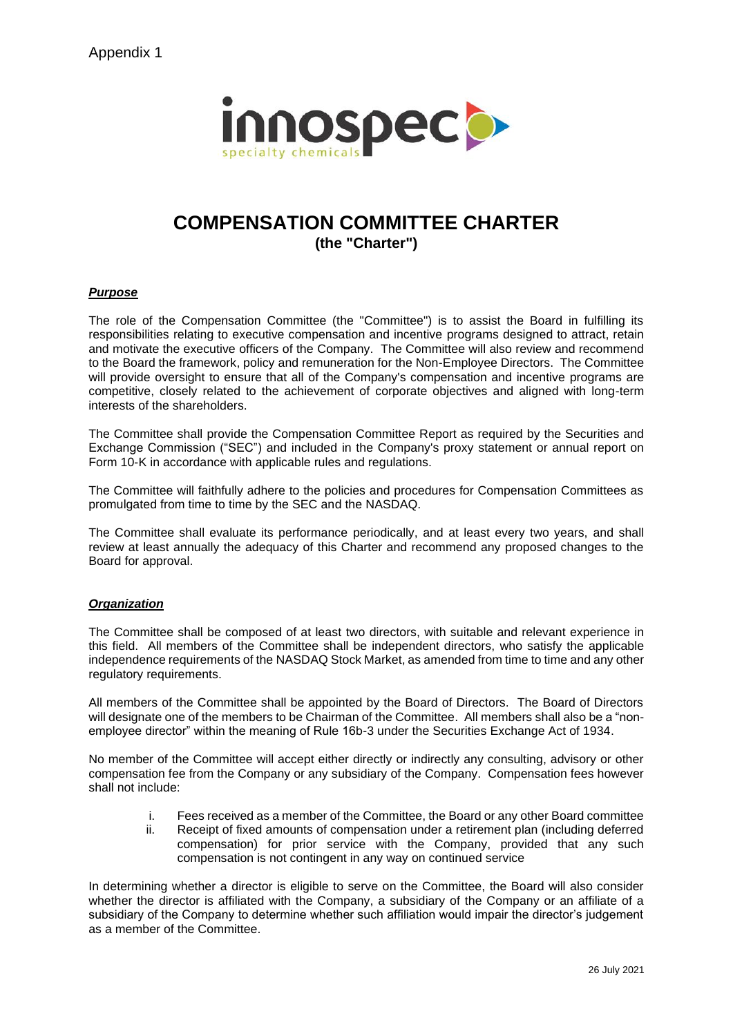Appendix 1



# **COMPENSATION COMMITTEE CHARTER (the "Charter")**

# *Purpose*

The role of the Compensation Committee (the "Committee") is to assist the Board in fulfilling its responsibilities relating to executive compensation and incentive programs designed to attract, retain and motivate the executive officers of the Company. The Committee will also review and recommend to the Board the framework, policy and remuneration for the Non-Employee Directors. The Committee will provide oversight to ensure that all of the Company's compensation and incentive programs are competitive, closely related to the achievement of corporate objectives and aligned with long-term interests of the shareholders.

The Committee shall provide the Compensation Committee Report as required by the Securities and Exchange Commission ("SEC") and included in the Company's proxy statement or annual report on Form 10-K in accordance with applicable rules and regulations.

The Committee will faithfully adhere to the policies and procedures for Compensation Committees as promulgated from time to time by the SEC and the NASDAQ.

The Committee shall evaluate its performance periodically, and at least every two years, and shall review at least annually the adequacy of this Charter and recommend any proposed changes to the Board for approval.

# *Organization*

The Committee shall be composed of at least two directors, with suitable and relevant experience in this field. All members of the Committee shall be independent directors, who satisfy the applicable independence requirements of the NASDAQ Stock Market, as amended from time to time and any other regulatory requirements.

All members of the Committee shall be appointed by the Board of Directors. The Board of Directors will designate one of the members to be Chairman of the Committee. All members shall also be a "nonemployee director" within the meaning of Rule 16b-3 under the Securities Exchange Act of 1934.

No member of the Committee will accept either directly or indirectly any consulting, advisory or other compensation fee from the Company or any subsidiary of the Company. Compensation fees however shall not include:

- i. Fees received as a member of the Committee, the Board or any other Board committee
- ii. Receipt of fixed amounts of compensation under a retirement plan (including deferred compensation) for prior service with the Company, provided that any such compensation is not contingent in any way on continued service

In determining whether a director is eligible to serve on the Committee, the Board will also consider whether the director is affiliated with the Company, a subsidiary of the Company or an affiliate of a subsidiary of the Company to determine whether such affiliation would impair the director's judgement as a member of the Committee.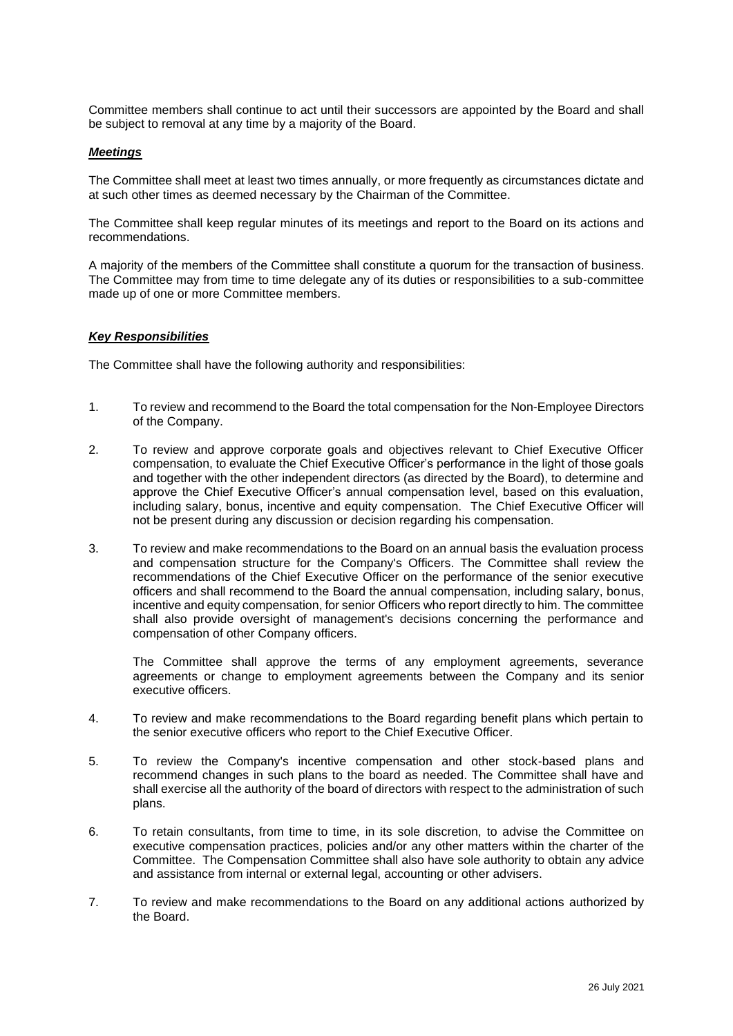Committee members shall continue to act until their successors are appointed by the Board and shall be subject to removal at any time by a majority of the Board.

### *Meetings*

The Committee shall meet at least two times annually, or more frequently as circumstances dictate and at such other times as deemed necessary by the Chairman of the Committee.

The Committee shall keep regular minutes of its meetings and report to the Board on its actions and recommendations.

A majority of the members of the Committee shall constitute a quorum for the transaction of business. The Committee may from time to time delegate any of its duties or responsibilities to a sub-committee made up of one or more Committee members.

### *Key Responsibilities*

The Committee shall have the following authority and responsibilities:

- 1. To review and recommend to the Board the total compensation for the Non-Employee Directors of the Company.
- 2. To review and approve corporate goals and objectives relevant to Chief Executive Officer compensation, to evaluate the Chief Executive Officer's performance in the light of those goals and together with the other independent directors (as directed by the Board), to determine and approve the Chief Executive Officer's annual compensation level, based on this evaluation, including salary, bonus, incentive and equity compensation. The Chief Executive Officer will not be present during any discussion or decision regarding his compensation.
- 3. To review and make recommendations to the Board on an annual basis the evaluation process and compensation structure for the Company's Officers. The Committee shall review the recommendations of the Chief Executive Officer on the performance of the senior executive officers and shall recommend to the Board the annual compensation, including salary, bonus, incentive and equity compensation, for senior Officers who report directly to him. The committee shall also provide oversight of management's decisions concerning the performance and compensation of other Company officers.

The Committee shall approve the terms of any employment agreements, severance agreements or change to employment agreements between the Company and its senior executive officers.

- 4. To review and make recommendations to the Board regarding benefit plans which pertain to the senior executive officers who report to the Chief Executive Officer.
- 5. To review the Company's incentive compensation and other stock-based plans and recommend changes in such plans to the board as needed. The Committee shall have and shall exercise all the authority of the board of directors with respect to the administration of such plans.
- 6. To retain consultants, from time to time, in its sole discretion, to advise the Committee on executive compensation practices, policies and/or any other matters within the charter of the Committee. The Compensation Committee shall also have sole authority to obtain any advice and assistance from internal or external legal, accounting or other advisers.
- 7. To review and make recommendations to the Board on any additional actions authorized by the Board.